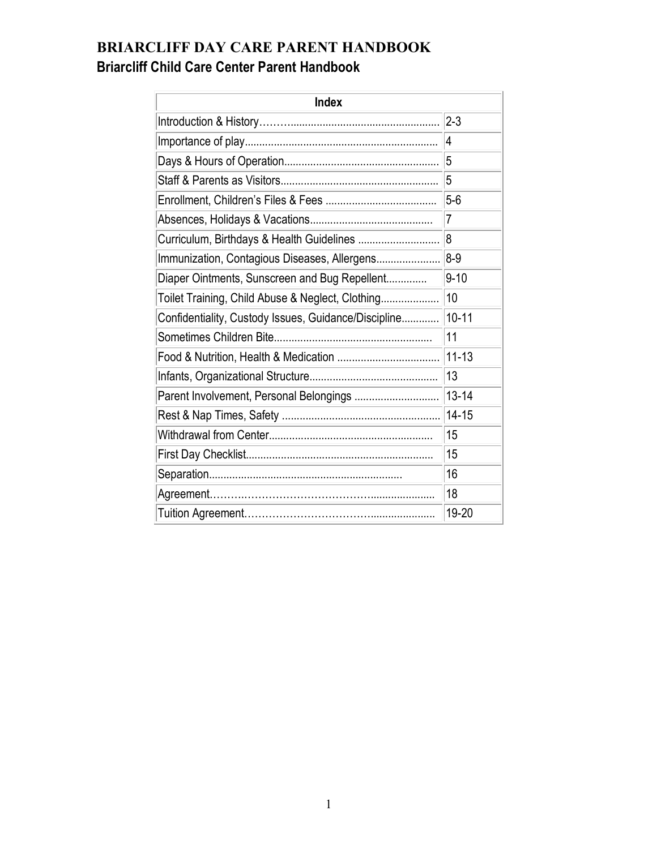# **BRIARCLIFF DAY CARE PARENT HANDBOOK Briarcliff Child Care Center Parent Handbook**

| <b>Index</b>                                         |                |
|------------------------------------------------------|----------------|
|                                                      | $2 - 3$        |
|                                                      | 4              |
|                                                      | 5              |
|                                                      | 5              |
|                                                      | $5-6$          |
|                                                      | $\overline{7}$ |
|                                                      | 8              |
| Immunization, Contagious Diseases, Allergens         | $8-9$          |
| Diaper Ointments, Sunscreen and Bug Repellent        | $9 - 10$       |
| Toilet Training, Child Abuse & Neglect, Clothing     | 10             |
| Confidentiality, Custody Issues, Guidance/Discipline | $10 - 11$      |
|                                                      | 11             |
|                                                      | $11 - 13$      |
|                                                      | 13             |
| Parent Involvement, Personal Belongings              | $13 - 14$      |
|                                                      | $14 - 15$      |
|                                                      | 15             |
|                                                      | 15             |
|                                                      | 16             |
|                                                      | 18             |
|                                                      | 19-20          |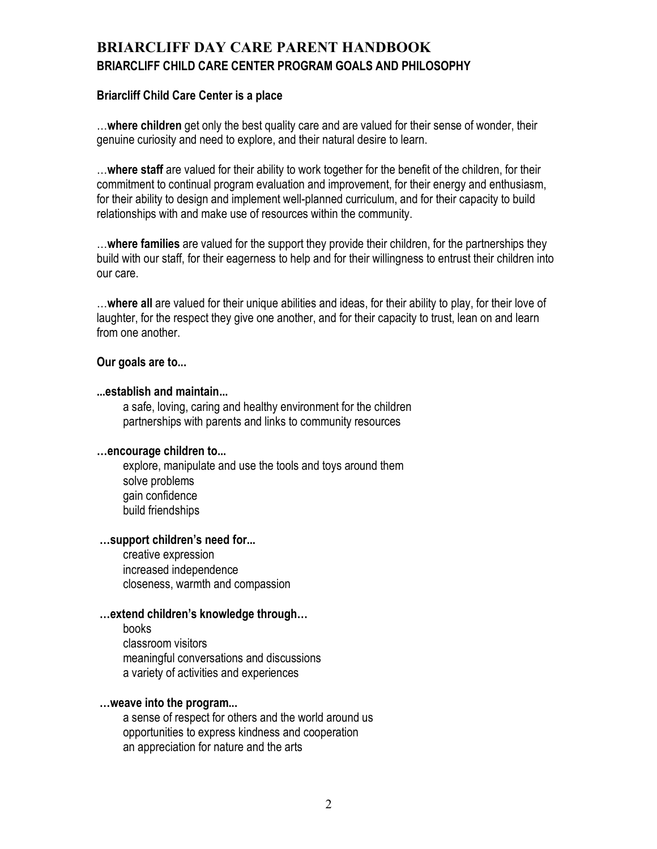## **BRIARCLIFF DAY CARE PARENT HANDBOOK BRIARCLIFF CHILD CARE CENTER PROGRAM GOALS AND PHILOSOPHY**

#### **Briarcliff Child Care Center is a place**

…**where children** get only the best quality care and are valued for their sense of wonder, their genuine curiosity and need to explore, and their natural desire to learn.

…**where staff** are valued for their ability to work together for the benefit of the children, for their commitment to continual program evaluation and improvement, for their energy and enthusiasm, for their ability to design and implement well-planned curriculum, and for their capacity to build relationships with and make use of resources within the community.

…**where families** are valued for the support they provide their children, for the partnerships they build with our staff, for their eagerness to help and for their willingness to entrust their children into our care.

…**where all** are valued for their unique abilities and ideas, for their ability to play, for their love of laughter, for the respect they give one another, and for their capacity to trust, lean on and learn from one another.

#### **Our goals are to...**

#### **...establish and maintain...**

 a safe, loving, caring and healthy environment for the children partnerships with parents and links to community resources

#### **…encourage children to...**

 explore, manipulate and use the tools and toys around them solve problems gain confidence build friendships

#### **…support children's need for...**

 creative expression increased independence closeness, warmth and compassion

#### **…extend children's knowledge through…**

 books classroom visitors meaningful conversations and discussions a variety of activities and experiences

#### **…weave into the program...**

 a sense of respect for others and the world around us opportunities to express kindness and cooperation an appreciation for nature and the arts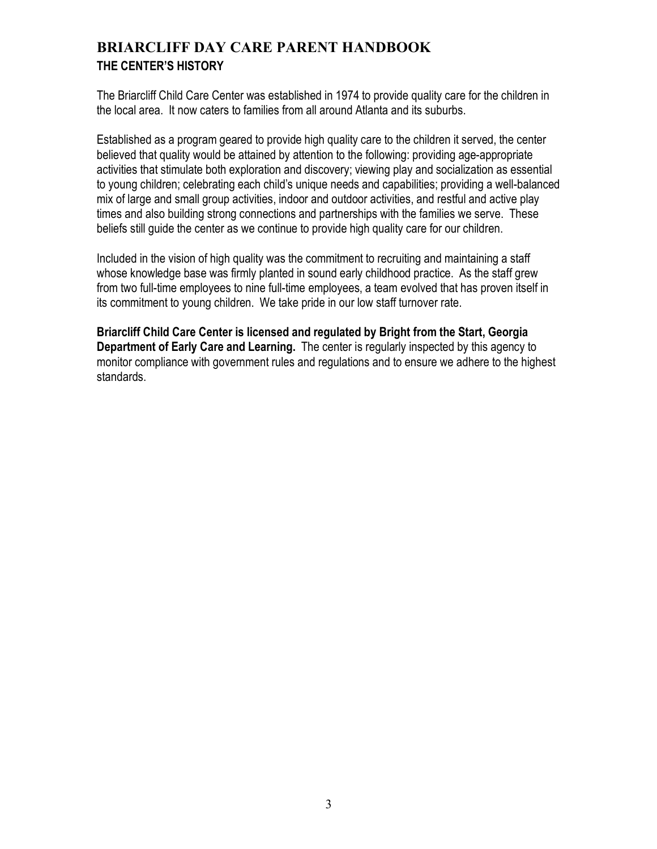## **BRIARCLIFF DAY CARE PARENT HANDBOOK THE CENTER'S HISTORY**

The Briarcliff Child Care Center was established in 1974 to provide quality care for the children in the local area. It now caters to families from all around Atlanta and its suburbs.

Established as a program geared to provide high quality care to the children it served, the center believed that quality would be attained by attention to the following: providing age-appropriate activities that stimulate both exploration and discovery; viewing play and socialization as essential to young children; celebrating each child's unique needs and capabilities; providing a well-balanced mix of large and small group activities, indoor and outdoor activities, and restful and active play times and also building strong connections and partnerships with the families we serve. These beliefs still guide the center as we continue to provide high quality care for our children.

Included in the vision of high quality was the commitment to recruiting and maintaining a staff whose knowledge base was firmly planted in sound early childhood practice. As the staff grew from two full-time employees to nine full-time employees, a team evolved that has proven itself in its commitment to young children. We take pride in our low staff turnover rate.

**Briarcliff Child Care Center is licensed and regulated by Bright from the Start, Georgia Department of Early Care and Learning.** The center is regularly inspected by this agency to monitor compliance with government rules and regulations and to ensure we adhere to the highest standards.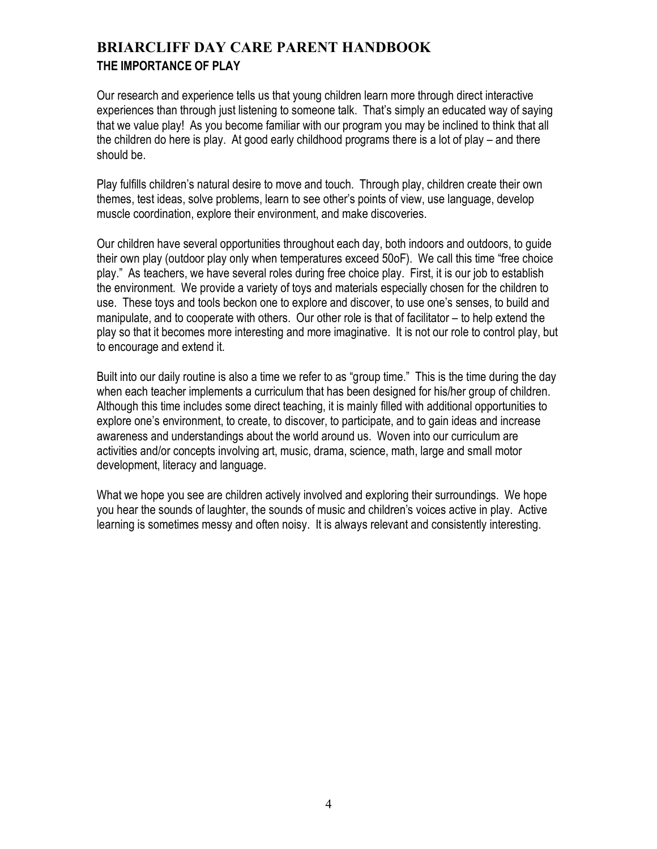## **BRIARCLIFF DAY CARE PARENT HANDBOOK THE IMPORTANCE OF PLAY**

Our research and experience tells us that young children learn more through direct interactive experiences than through just listening to someone talk. That's simply an educated way of saying that we value play! As you become familiar with our program you may be inclined to think that all the children do here is play. At good early childhood programs there is a lot of play – and there should be.

Play fulfills children's natural desire to move and touch. Through play, children create their own themes, test ideas, solve problems, learn to see other's points of view, use language, develop muscle coordination, explore their environment, and make discoveries.

Our children have several opportunities throughout each day, both indoors and outdoors, to guide their own play (outdoor play only when temperatures exceed 50oF). We call this time "free choice play." As teachers, we have several roles during free choice play. First, it is our job to establish the environment. We provide a variety of toys and materials especially chosen for the children to use. These toys and tools beckon one to explore and discover, to use one's senses, to build and manipulate, and to cooperate with others. Our other role is that of facilitator – to help extend the play so that it becomes more interesting and more imaginative. It is not our role to control play, but to encourage and extend it.

Built into our daily routine is also a time we refer to as "group time." This is the time during the day when each teacher implements a curriculum that has been designed for his/her group of children. Although this time includes some direct teaching, it is mainly filled with additional opportunities to explore one's environment, to create, to discover, to participate, and to gain ideas and increase awareness and understandings about the world around us. Woven into our curriculum are activities and/or concepts involving art, music, drama, science, math, large and small motor development, literacy and language.

What we hope you see are children actively involved and exploring their surroundings. We hope you hear the sounds of laughter, the sounds of music and children's voices active in play. Active learning is sometimes messy and often noisy. It is always relevant and consistently interesting.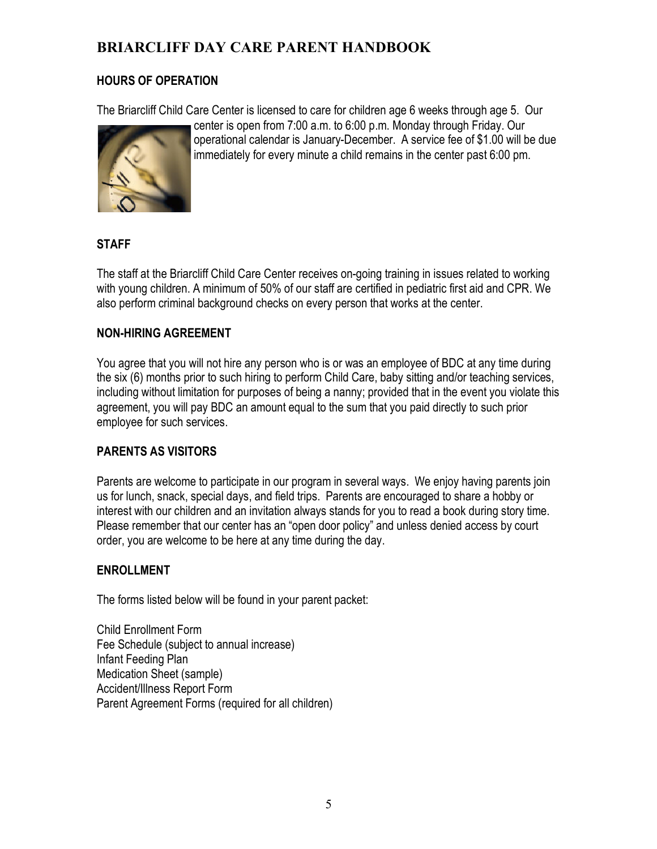### **HOURS OF OPERATION**

The Briarcliff Child Care Center is licensed to care for children age 6 weeks through age 5. Our



center is open from 7:00 a.m. to 6:00 p.m. Monday through Friday. Our operational calendar is January-December. A service fee of \$1.00 will be due immediately for every minute a child remains in the center past 6:00 pm.

### **STAFF**

The staff at the Briarcliff Child Care Center receives on-going training in issues related to working with young children. A minimum of 50% of our staff are certified in pediatric first aid and CPR. We also perform criminal background checks on every person that works at the center.

### **NON-HIRING AGREEMENT**

You agree that you will not hire any person who is or was an employee of BDC at any time during the six (6) months prior to such hiring to perform Child Care, baby sitting and/or teaching services, including without limitation for purposes of being a nanny; provided that in the event you violate this agreement, you will pay BDC an amount equal to the sum that you paid directly to such prior employee for such services.

### **PARENTS AS VISITORS**

Parents are welcome to participate in our program in several ways. We enjoy having parents join us for lunch, snack, special days, and field trips. Parents are encouraged to share a hobby or interest with our children and an invitation always stands for you to read a book during story time. Please remember that our center has an "open door policy" and unless denied access by court order, you are welcome to be here at any time during the day.

#### **ENROLLMENT**

The forms listed below will be found in your parent packet:

Child Enrollment Form Fee Schedule (subject to annual increase) Infant Feeding Plan Medication Sheet (sample) Accident/Illness Report Form Parent Agreement Forms (required for all children)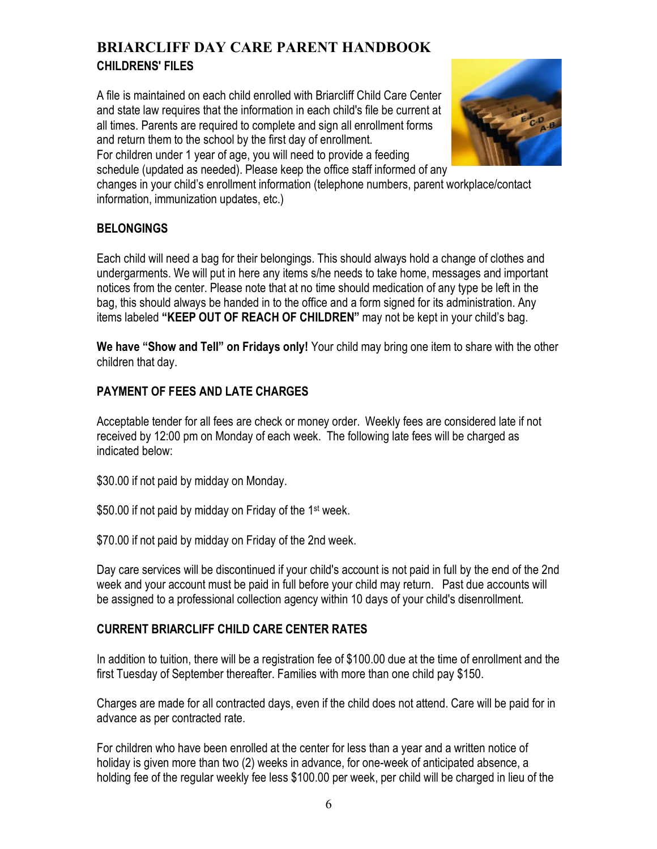## **BRIARCLIFF DAY CARE PARENT HANDBOOK CHILDRENS' FILES**

A file is maintained on each child enrolled with Briarcliff Child Care Center and state law requires that the information in each child's file be current at all times. Parents are required to complete and sign all enrollment forms and return them to the school by the first day of enrollment.



For children under 1 year of age, you will need to provide a feeding schedule (updated as needed). Please keep the office staff informed of any

changes in your child's enrollment information (telephone numbers, parent workplace/contact information, immunization updates, etc.)

### **BELONGINGS**

Each child will need a bag for their belongings. This should always hold a change of clothes and undergarments. We will put in here any items s/he needs to take home, messages and important notices from the center. Please note that at no time should medication of any type be left in the bag, this should always be handed in to the office and a form signed for its administration. Any items labeled **"KEEP OUT OF REACH OF CHILDREN"** may not be kept in your child's bag.

**We have "Show and Tell" on Fridays only!** Your child may bring one item to share with the other children that day.

### **PAYMENT OF FEES AND LATE CHARGES**

Acceptable tender for all fees are check or money order. Weekly fees are considered late if not received by 12:00 pm on Monday of each week. The following late fees will be charged as indicated below:

\$30.00 if not paid by midday on Monday.

\$50.00 if not paid by midday on Friday of the 1<sup>st</sup> week.

\$70.00 if not paid by midday on Friday of the 2nd week.

Day care services will be discontinued if your child's account is not paid in full by the end of the 2nd week and your account must be paid in full before your child may return. Past due accounts will be assigned to a professional collection agency within 10 days of your child's disenrollment.

### **CURRENT BRIARCLIFF CHILD CARE CENTER RATES**

In addition to tuition, there will be a registration fee of \$100.00 due at the time of enrollment and the first Tuesday of September thereafter. Families with more than one child pay \$150.

Charges are made for all contracted days, even if the child does not attend. Care will be paid for in advance as per contracted rate.

For children who have been enrolled at the center for less than a year and a written notice of holiday is given more than two (2) weeks in advance, for one-week of anticipated absence, a holding fee of the regular weekly fee less \$100.00 per week, per child will be charged in lieu of the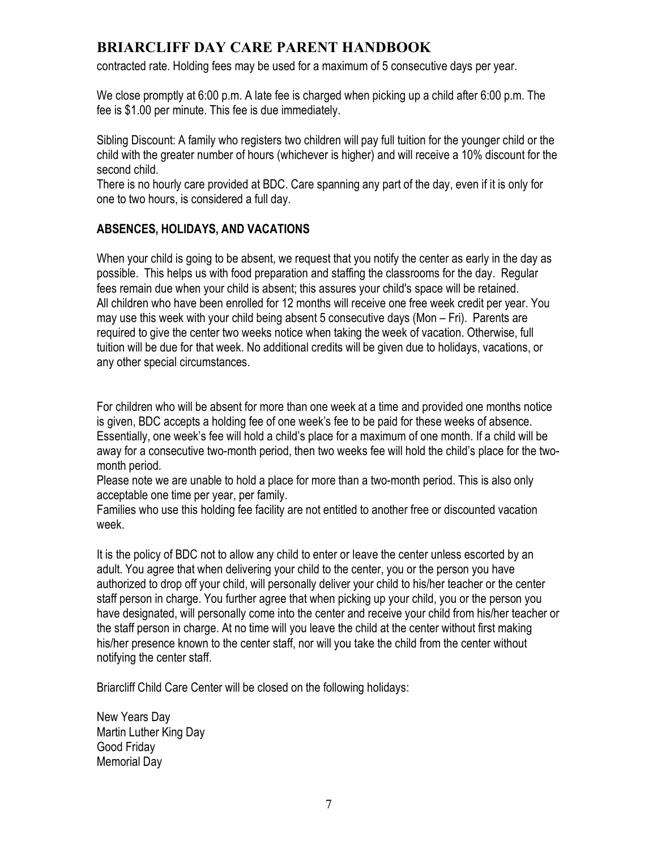contracted rate. Holding fees may be used for a maximum of 5 consecutive days per year.

We close promptly at 6:00 p.m. A late fee is charged when picking up a child after 6:00 p.m. The fee is \$1.00 per minute. This fee is due immediately.

Sibling Discount: A family who registers two children will pay full tuition for the younger child or the child with the greater number of hours (whichever is higher) and will receive a 10% discount for the second child.

There is no hourly care provided at BDC. Care spanning any part of the day, even if it is only for one to two hours, is considered a full day.

### **ABSENCES, HOLIDAYS, AND VACATIONS**

When your child is going to be absent, we request that you notify the center as early in the day as possible. This helps us with food preparation and staffing the classrooms for the day. Regular fees remain due when your child is absent; this assures your child's space will be retained. All children who have been enrolled for 12 months will receive one free week credit per year. You may use this week with your child being absent 5 consecutive days (Mon – Fri). Parents are required to give the center two weeks notice when taking the week of vacation. Otherwise, full tuition will be due for that week. No additional credits will be given due to holidays, vacations, or any other special circumstances.

For children who will be absent for more than one week at a time and provided one months notice is given, BDC accepts a holding fee of one week's fee to be paid for these weeks of absence. Essentially, one week's fee will hold a child's place for a maximum of one month. If a child will be away for a consecutive two-month period, then two weeks fee will hold the child's place for the twomonth period.

Please note we are unable to hold a place for more than a two-month period. This is also only acceptable one time per year, per family.

Families who use this holding fee facility are not entitled to another free or discounted vacation week.

It is the policy of BDC not to allow any child to enter or leave the center unless escorted by an adult. You agree that when delivering your child to the center, you or the person you have authorized to drop off your child, will personally deliver your child to his/her teacher or the center staff person in charge. You further agree that when picking up your child, you or the person you have designated, will personally come into the center and receive your child from his/her teacher or the staff person in charge. At no time will you leave the child at the center without first making his/her presence known to the center staff, nor will you take the child from the center without notifying the center staff.

Briarcliff Child Care Center will be closed on the following holidays:

New Years Day Martin Luther King Day Good Friday Memorial Day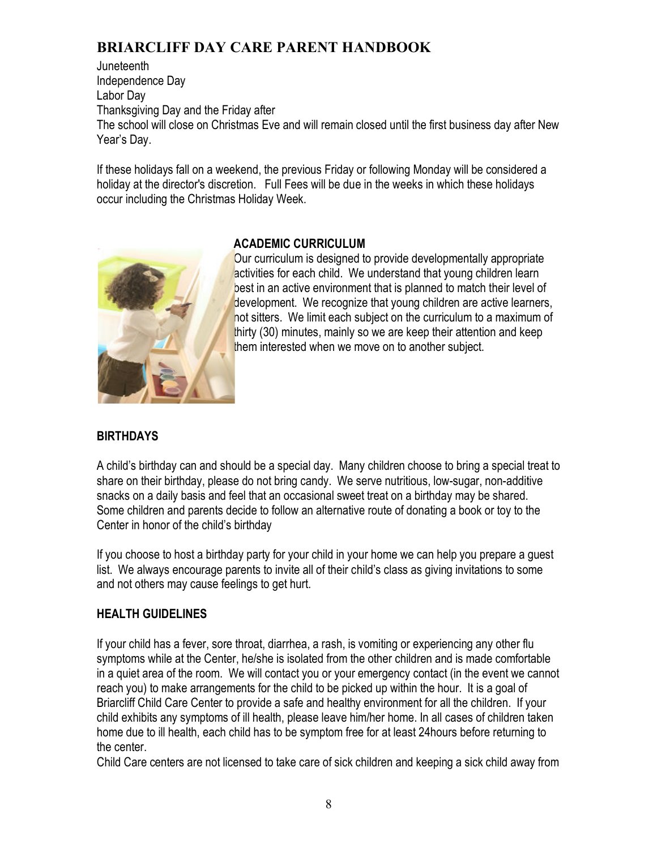**Juneteenth** Independence Day Labor Day Thanksgiving Day and the Friday after The school will close on Christmas Eve and will remain closed until the first business day after New Year's Day.

If these holidays fall on a weekend, the previous Friday or following Monday will be considered a holiday at the director's discretion. Full Fees will be due in the weeks in which these holidays occur including the Christmas Holiday Week.



### **ACADEMIC CURRICULUM**

Our curriculum is designed to provide developmentally appropriate activities for each child. We understand that young children learn best in an active environment that is planned to match their level of development. We recognize that young children are active learners, not sitters. We limit each subject on the curriculum to a maximum of thirty (30) minutes, mainly so we are keep their attention and keep them interested when we move on to another subject.

## **BIRTHDAYS**

A child's birthday can and should be a special day. Many children choose to bring a special treat to share on their birthday, please do not bring candy. We serve nutritious, low-sugar, non-additive snacks on a daily basis and feel that an occasional sweet treat on a birthday may be shared. Some children and parents decide to follow an alternative route of donating a book or toy to the Center in honor of the child's birthday

If you choose to host a birthday party for your child in your home we can help you prepare a guest list. We always encourage parents to invite all of their child's class as giving invitations to some and not others may cause feelings to get hurt.

## **HEALTH GUIDELINES**

If your child has a fever, sore throat, diarrhea, a rash, is vomiting or experiencing any other flu symptoms while at the Center, he/she is isolated from the other children and is made comfortable in a quiet area of the room. We will contact you or your emergency contact (in the event we cannot reach you) to make arrangements for the child to be picked up within the hour. It is a goal of Briarcliff Child Care Center to provide a safe and healthy environment for all the children. If your child exhibits any symptoms of ill health, please leave him/her home. In all cases of children taken home due to ill health, each child has to be symptom free for at least 24hours before returning to the center.

Child Care centers are not licensed to take care of sick children and keeping a sick child away from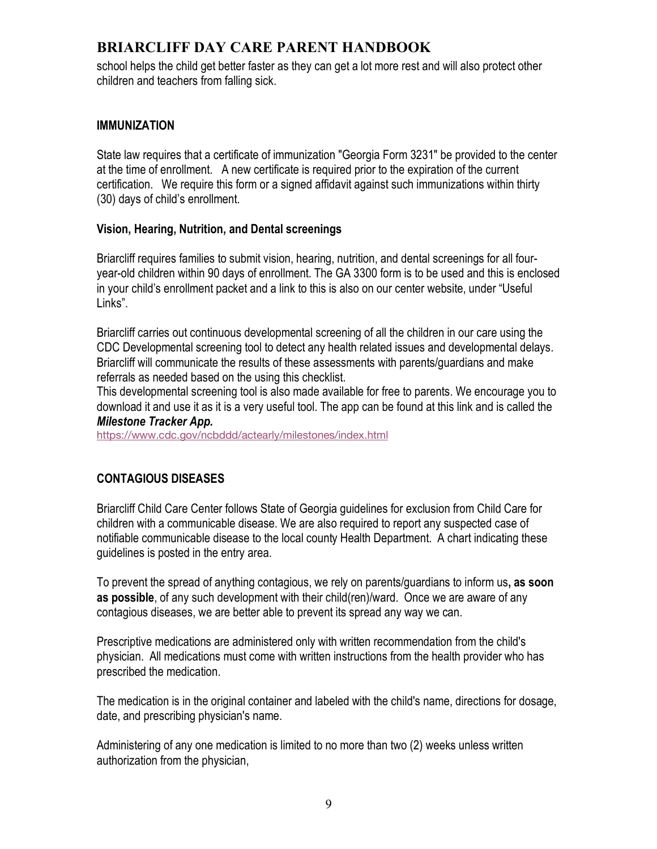school helps the child get better faster as they can get a lot more rest and will also protect other children and teachers from falling sick.

### **IMMUNIZATION**

State law requires that a certificate of immunization "Georgia Form 3231" be provided to the center at the time of enrollment. A new certificate is required prior to the expiration of the current certification. We require this form or a signed affidavit against such immunizations within thirty (30) days of child's enrollment.

### **Vision, Hearing, Nutrition, and Dental screenings**

Briarcliff requires families to submit vision, hearing, nutrition, and dental screenings for all fouryear-old children within 90 days of enrollment. The GA 3300 form is to be used and this is enclosed in your child's enrollment packet and a link to this is also on our center website, under "Useful Links".

Briarcliff carries out continuous developmental screening of all the children in our care using the CDC Developmental screening tool to detect any health related issues and developmental delays. Briarcliff will communicate the results of these assessments with parents/guardians and make referrals as needed based on the using this checklist.

This developmental screening tool is also made available for free to parents. We encourage you to download it and use it as it is a very useful tool. The app can be found at this link and is called the *Milestone Tracker App.*

https://www.cdc.gov/ncbddd/actearly/milestones/index.html

### **CONTAGIOUS DISEASES**

Briarcliff Child Care Center follows State of Georgia guidelines for exclusion from Child Care for children with a communicable disease. We are also required to report any suspected case of notifiable communicable disease to the local county Health Department. A chart indicating these guidelines is posted in the entry area.

To prevent the spread of anything contagious, we rely on parents/guardians to inform us**, as soon as possible**, of any such development with their child(ren)/ward. Once we are aware of any contagious diseases, we are better able to prevent its spread any way we can.

Prescriptive medications are administered only with written recommendation from the child's physician. All medications must come with written instructions from the health provider who has prescribed the medication.

The medication is in the original container and labeled with the child's name, directions for dosage, date, and prescribing physician's name.

Administering of any one medication is limited to no more than two (2) weeks unless written authorization from the physician,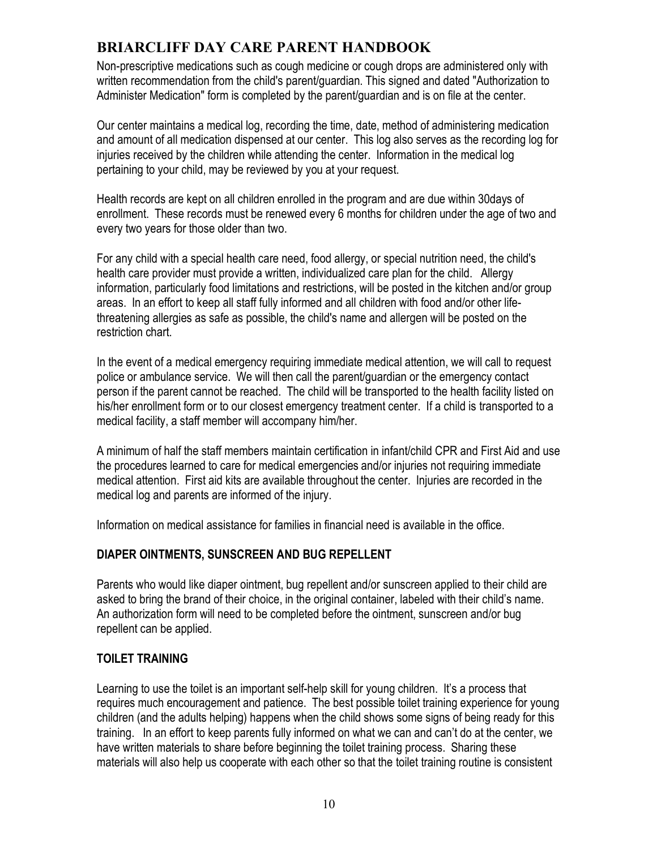Non-prescriptive medications such as cough medicine or cough drops are administered only with written recommendation from the child's parent/guardian. This signed and dated "Authorization to Administer Medication" form is completed by the parent/guardian and is on file at the center.

Our center maintains a medical log, recording the time, date, method of administering medication and amount of all medication dispensed at our center. This log also serves as the recording log for injuries received by the children while attending the center. Information in the medical log pertaining to your child, may be reviewed by you at your request.

Health records are kept on all children enrolled in the program and are due within 30days of enrollment. These records must be renewed every 6 months for children under the age of two and every two years for those older than two.

For any child with a special health care need, food allergy, or special nutrition need, the child's health care provider must provide a written, individualized care plan for the child. Allergy information, particularly food limitations and restrictions, will be posted in the kitchen and/or group areas. In an effort to keep all staff fully informed and all children with food and/or other lifethreatening allergies as safe as possible, the child's name and allergen will be posted on the restriction chart.

In the event of a medical emergency requiring immediate medical attention, we will call to request police or ambulance service. We will then call the parent/guardian or the emergency contact person if the parent cannot be reached. The child will be transported to the health facility listed on his/her enrollment form or to our closest emergency treatment center. If a child is transported to a medical facility, a staff member will accompany him/her.

A minimum of half the staff members maintain certification in infant/child CPR and First Aid and use the procedures learned to care for medical emergencies and/or injuries not requiring immediate medical attention. First aid kits are available throughout the center. Injuries are recorded in the medical log and parents are informed of the injury.

Information on medical assistance for families in financial need is available in the office.

### **DIAPER OINTMENTS, SUNSCREEN AND BUG REPELLENT**

Parents who would like diaper ointment, bug repellent and/or sunscreen applied to their child are asked to bring the brand of their choice, in the original container, labeled with their child's name. An authorization form will need to be completed before the ointment, sunscreen and/or bug repellent can be applied.

### **TOILET TRAINING**

Learning to use the toilet is an important self-help skill for young children. It's a process that requires much encouragement and patience. The best possible toilet training experience for young children (and the adults helping) happens when the child shows some signs of being ready for this training. In an effort to keep parents fully informed on what we can and can't do at the center, we have written materials to share before beginning the toilet training process. Sharing these materials will also help us cooperate with each other so that the toilet training routine is consistent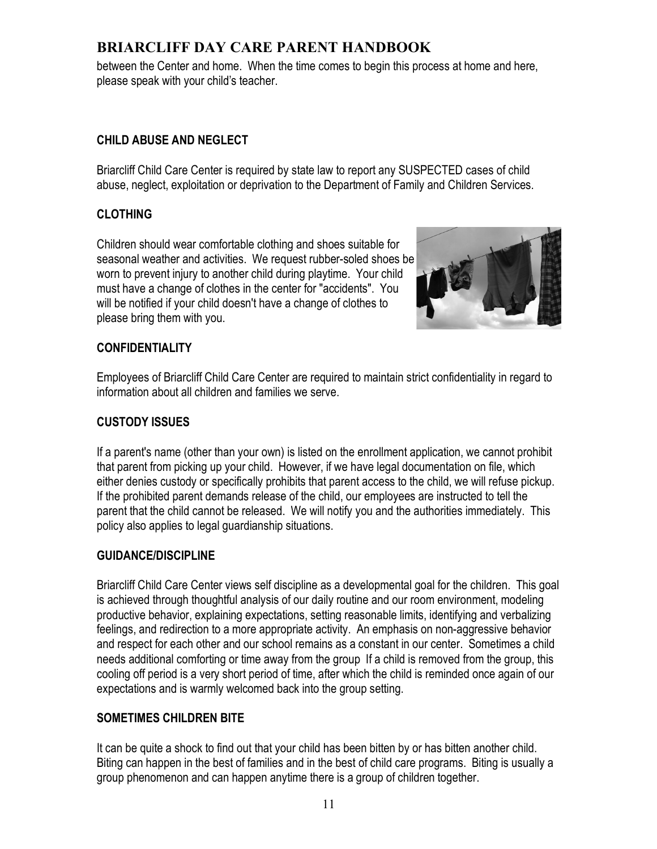between the Center and home. When the time comes to begin this process at home and here, please speak with your child's teacher.

### **CHILD ABUSE AND NEGLECT**

Briarcliff Child Care Center is required by state law to report any SUSPECTED cases of child abuse, neglect, exploitation or deprivation to the Department of Family and Children Services.

### **CLOTHING**

Children should wear comfortable clothing and shoes suitable for seasonal weather and activities. We request rubber-soled shoes be worn to prevent injury to another child during playtime. Your child must have a change of clothes in the center for "accidents". You will be notified if your child doesn't have a change of clothes to please bring them with you.



### **CONFIDENTIALITY**

Employees of Briarcliff Child Care Center are required to maintain strict confidentiality in regard to information about all children and families we serve.

### **CUSTODY ISSUES**

If a parent's name (other than your own) is listed on the enrollment application, we cannot prohibit that parent from picking up your child. However, if we have legal documentation on file, which either denies custody or specifically prohibits that parent access to the child, we will refuse pickup. If the prohibited parent demands release of the child, our employees are instructed to tell the parent that the child cannot be released. We will notify you and the authorities immediately. This policy also applies to legal guardianship situations.

### **GUIDANCE/DISCIPLINE**

Briarcliff Child Care Center views self discipline as a developmental goal for the children. This goal is achieved through thoughtful analysis of our daily routine and our room environment, modeling productive behavior, explaining expectations, setting reasonable limits, identifying and verbalizing feelings, and redirection to a more appropriate activity. An emphasis on non-aggressive behavior and respect for each other and our school remains as a constant in our center. Sometimes a child needs additional comforting or time away from the group If a child is removed from the group, this cooling off period is a very short period of time, after which the child is reminded once again of our expectations and is warmly welcomed back into the group setting.

### **SOMETIMES CHILDREN BITE**

It can be quite a shock to find out that your child has been bitten by or has bitten another child. Biting can happen in the best of families and in the best of child care programs. Biting is usually a group phenomenon and can happen anytime there is a group of children together.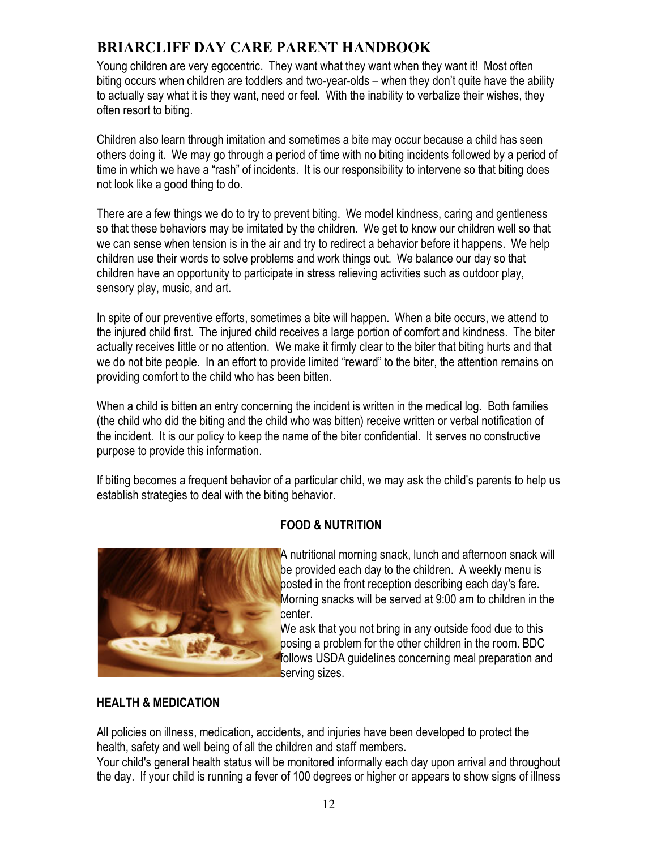Young children are very egocentric. They want what they want when they want it! Most often biting occurs when children are toddlers and two-year-olds – when they don't quite have the ability to actually say what it is they want, need or feel. With the inability to verbalize their wishes, they often resort to biting.

Children also learn through imitation and sometimes a bite may occur because a child has seen others doing it. We may go through a period of time with no biting incidents followed by a period of time in which we have a "rash" of incidents. It is our responsibility to intervene so that biting does not look like a good thing to do.

There are a few things we do to try to prevent biting. We model kindness, caring and gentleness so that these behaviors may be imitated by the children. We get to know our children well so that we can sense when tension is in the air and try to redirect a behavior before it happens. We help children use their words to solve problems and work things out. We balance our day so that children have an opportunity to participate in stress relieving activities such as outdoor play, sensory play, music, and art.

In spite of our preventive efforts, sometimes a bite will happen. When a bite occurs, we attend to the injured child first. The injured child receives a large portion of comfort and kindness. The biter actually receives little or no attention. We make it firmly clear to the biter that biting hurts and that we do not bite people. In an effort to provide limited "reward" to the biter, the attention remains on providing comfort to the child who has been bitten.

When a child is bitten an entry concerning the incident is written in the medical log. Both families (the child who did the biting and the child who was bitten) receive written or verbal notification of the incident. It is our policy to keep the name of the biter confidential. It serves no constructive purpose to provide this information.

If biting becomes a frequent behavior of a particular child, we may ask the child's parents to help us establish strategies to deal with the biting behavior.

### **FOOD & NUTRITION**



A nutritional morning snack, lunch and afternoon snack will be provided each day to the children. A weekly menu is posted in the front reception describing each day's fare. Morning snacks will be served at 9:00 am to children in the center.

We ask that you not bring in any outside food due to this posing a problem for the other children in the room. BDC follows USDA guidelines concerning meal preparation and serving sizes.

### **HEALTH & MEDICATION**

All policies on illness, medication, accidents, and injuries have been developed to protect the health, safety and well being of all the children and staff members.

Your child's general health status will be monitored informally each day upon arrival and throughout the day. If your child is running a fever of 100 degrees or higher or appears to show signs of illness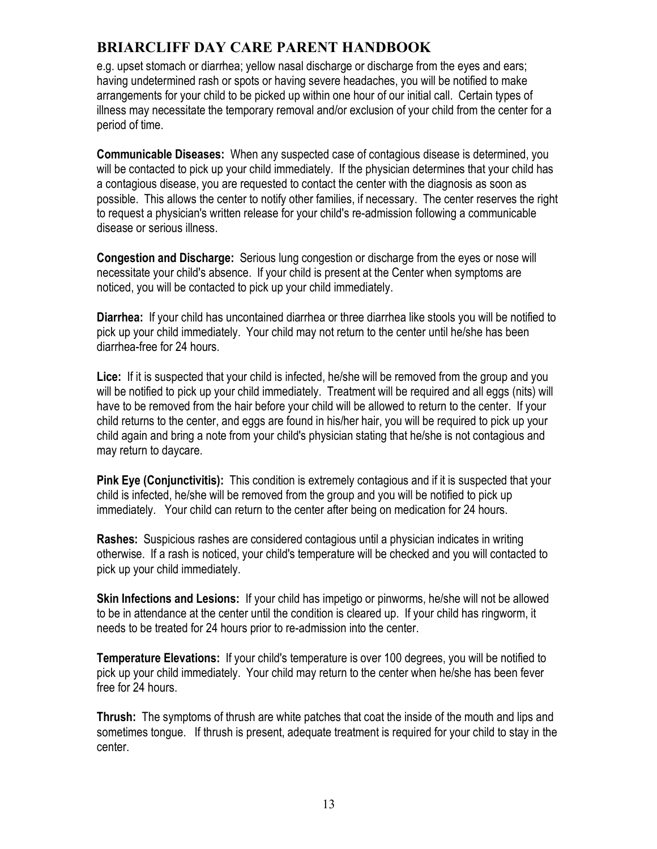e.g. upset stomach or diarrhea; yellow nasal discharge or discharge from the eyes and ears; having undetermined rash or spots or having severe headaches, you will be notified to make arrangements for your child to be picked up within one hour of our initial call. Certain types of illness may necessitate the temporary removal and/or exclusion of your child from the center for a period of time.

**Communicable Diseases:** When any suspected case of contagious disease is determined, you will be contacted to pick up your child immediately. If the physician determines that your child has a contagious disease, you are requested to contact the center with the diagnosis as soon as possible. This allows the center to notify other families, if necessary. The center reserves the right to request a physician's written release for your child's re-admission following a communicable disease or serious illness.

**Congestion and Discharge:** Serious lung congestion or discharge from the eyes or nose will necessitate your child's absence. If your child is present at the Center when symptoms are noticed, you will be contacted to pick up your child immediately.

**Diarrhea:** If your child has uncontained diarrhea or three diarrhea like stools you will be notified to pick up your child immediately. Your child may not return to the center until he/she has been diarrhea-free for 24 hours.

**Lice:** If it is suspected that your child is infected, he/she will be removed from the group and you will be notified to pick up your child immediately. Treatment will be required and all eggs (nits) will have to be removed from the hair before your child will be allowed to return to the center. If your child returns to the center, and eggs are found in his/her hair, you will be required to pick up your child again and bring a note from your child's physician stating that he/she is not contagious and may return to daycare.

**Pink Eye (Conjunctivitis):** This condition is extremely contagious and if it is suspected that your child is infected, he/she will be removed from the group and you will be notified to pick up immediately. Your child can return to the center after being on medication for 24 hours.

**Rashes:** Suspicious rashes are considered contagious until a physician indicates in writing otherwise. If a rash is noticed, your child's temperature will be checked and you will contacted to pick up your child immediately.

**Skin Infections and Lesions:** If your child has impetigo or pinworms, he/she will not be allowed to be in attendance at the center until the condition is cleared up. If your child has ringworm, it needs to be treated for 24 hours prior to re-admission into the center.

**Temperature Elevations:** If your child's temperature is over 100 degrees, you will be notified to pick up your child immediately. Your child may return to the center when he/she has been fever free for 24 hours.

**Thrush:** The symptoms of thrush are white patches that coat the inside of the mouth and lips and sometimes tongue. If thrush is present, adequate treatment is required for your child to stay in the center.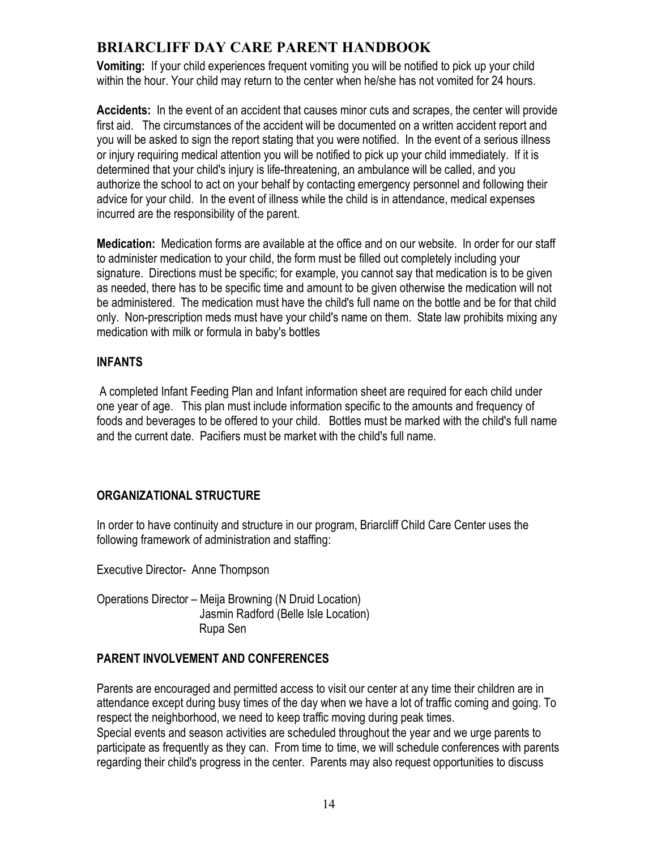**Vomiting:** If your child experiences frequent vomiting you will be notified to pick up your child within the hour. Your child may return to the center when he/she has not vomited for 24 hours.

**Accidents:** In the event of an accident that causes minor cuts and scrapes, the center will provide first aid. The circumstances of the accident will be documented on a written accident report and you will be asked to sign the report stating that you were notified. In the event of a serious illness or injury requiring medical attention you will be notified to pick up your child immediately. If it is determined that your child's injury is life-threatening, an ambulance will be called, and you authorize the school to act on your behalf by contacting emergency personnel and following their advice for your child. In the event of illness while the child is in attendance, medical expenses incurred are the responsibility of the parent.

**Medication:** Medication forms are available at the office and on our website. In order for our staff to administer medication to your child, the form must be filled out completely including your signature. Directions must be specific; for example, you cannot say that medication is to be given as needed, there has to be specific time and amount to be given otherwise the medication will not be administered. The medication must have the child's full name on the bottle and be for that child only. Non-prescription meds must have your child's name on them. State law prohibits mixing any medication with milk or formula in baby's bottles

### **INFANTS**

A completed Infant Feeding Plan and Infant information sheet are required for each child under one year of age. This plan must include information specific to the amounts and frequency of foods and beverages to be offered to your child. Bottles must be marked with the child's full name and the current date. Pacifiers must be market with the child's full name.

## **ORGANIZATIONAL STRUCTURE**

In order to have continuity and structure in our program, Briarcliff Child Care Center uses the following framework of administration and staffing:

Executive Director- Anne Thompson

Operations Director – Meija Browning (N Druid Location) Jasmin Radford (Belle Isle Location) Rupa Sen

## **PARENT INVOLVEMENT AND CONFERENCES**

Parents are encouraged and permitted access to visit our center at any time their children are in attendance except during busy times of the day when we have a lot of traffic coming and going. To respect the neighborhood, we need to keep traffic moving during peak times.

Special events and season activities are scheduled throughout the year and we urge parents to participate as frequently as they can. From time to time, we will schedule conferences with parents regarding their child's progress in the center. Parents may also request opportunities to discuss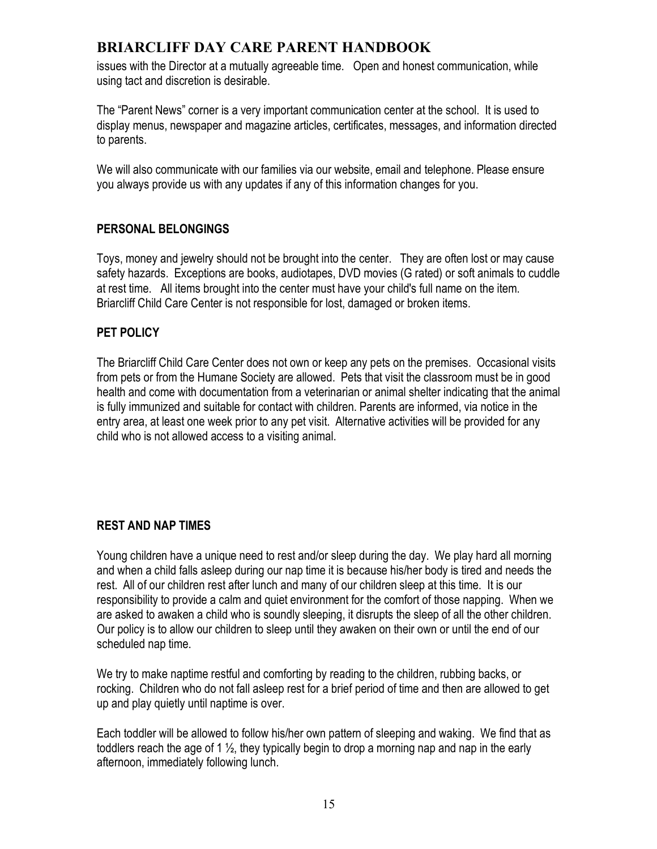issues with the Director at a mutually agreeable time. Open and honest communication, while using tact and discretion is desirable.

The "Parent News" corner is a very important communication center at the school. It is used to display menus, newspaper and magazine articles, certificates, messages, and information directed to parents.

We will also communicate with our families via our website, email and telephone. Please ensure you always provide us with any updates if any of this information changes for you.

### **PERSONAL BELONGINGS**

Toys, money and jewelry should not be brought into the center. They are often lost or may cause safety hazards. Exceptions are books, audiotapes, DVD movies (G rated) or soft animals to cuddle at rest time. All items brought into the center must have your child's full name on the item. Briarcliff Child Care Center is not responsible for lost, damaged or broken items.

### **PET POLICY**

The Briarcliff Child Care Center does not own or keep any pets on the premises. Occasional visits from pets or from the Humane Society are allowed. Pets that visit the classroom must be in good health and come with documentation from a veterinarian or animal shelter indicating that the animal is fully immunized and suitable for contact with children. Parents are informed, via notice in the entry area, at least one week prior to any pet visit. Alternative activities will be provided for any child who is not allowed access to a visiting animal.

## **REST AND NAP TIMES**

Young children have a unique need to rest and/or sleep during the day. We play hard all morning and when a child falls asleep during our nap time it is because his/her body is tired and needs the rest. All of our children rest after lunch and many of our children sleep at this time. It is our responsibility to provide a calm and quiet environment for the comfort of those napping. When we are asked to awaken a child who is soundly sleeping, it disrupts the sleep of all the other children. Our policy is to allow our children to sleep until they awaken on their own or until the end of our scheduled nap time.

We try to make naptime restful and comforting by reading to the children, rubbing backs, or rocking. Children who do not fall asleep rest for a brief period of time and then are allowed to get up and play quietly until naptime is over.

Each toddler will be allowed to follow his/her own pattern of sleeping and waking. We find that as toddlers reach the age of 1 ½, they typically begin to drop a morning nap and nap in the early afternoon, immediately following lunch.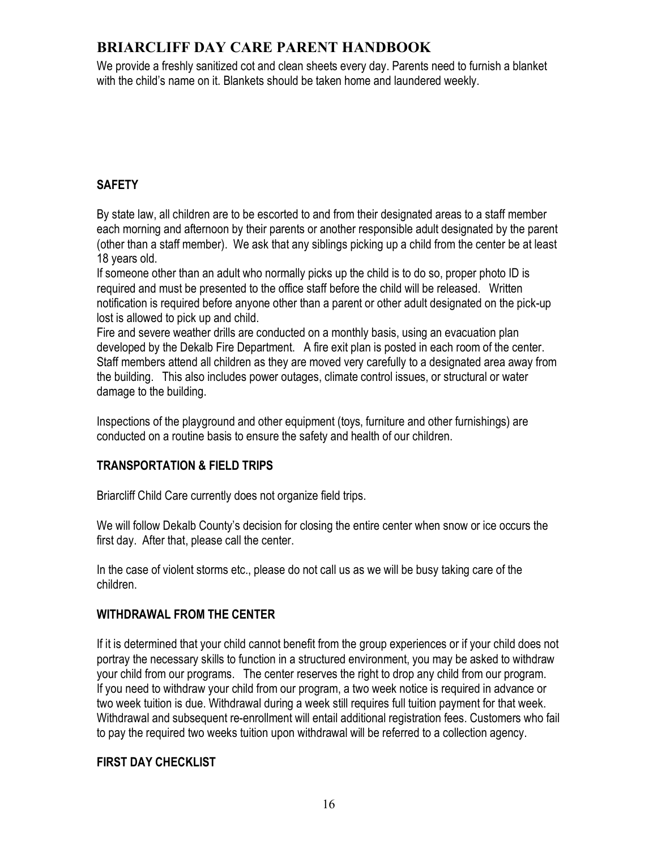We provide a freshly sanitized cot and clean sheets every day. Parents need to furnish a blanket with the child's name on it. Blankets should be taken home and laundered weekly.

## **SAFETY**

By state law, all children are to be escorted to and from their designated areas to a staff member each morning and afternoon by their parents or another responsible adult designated by the parent (other than a staff member). We ask that any siblings picking up a child from the center be at least 18 years old.

If someone other than an adult who normally picks up the child is to do so, proper photo ID is required and must be presented to the office staff before the child will be released. Written notification is required before anyone other than a parent or other adult designated on the pick-up lost is allowed to pick up and child.

Fire and severe weather drills are conducted on a monthly basis, using an evacuation plan developed by the Dekalb Fire Department. A fire exit plan is posted in each room of the center. Staff members attend all children as they are moved very carefully to a designated area away from the building. This also includes power outages, climate control issues, or structural or water damage to the building.

Inspections of the playground and other equipment (toys, furniture and other furnishings) are conducted on a routine basis to ensure the safety and health of our children.

## **TRANSPORTATION & FIELD TRIPS**

Briarcliff Child Care currently does not organize field trips.

We will follow Dekalb County's decision for closing the entire center when snow or ice occurs the first day. After that, please call the center.

In the case of violent storms etc., please do not call us as we will be busy taking care of the children.

### **WITHDRAWAL FROM THE CENTER**

If it is determined that your child cannot benefit from the group experiences or if your child does not portray the necessary skills to function in a structured environment, you may be asked to withdraw your child from our programs. The center reserves the right to drop any child from our program. If you need to withdraw your child from our program, a two week notice is required in advance or two week tuition is due. Withdrawal during a week still requires full tuition payment for that week. Withdrawal and subsequent re-enrollment will entail additional registration fees. Customers who fail to pay the required two weeks tuition upon withdrawal will be referred to a collection agency.

### **FIRST DAY CHECKLIST**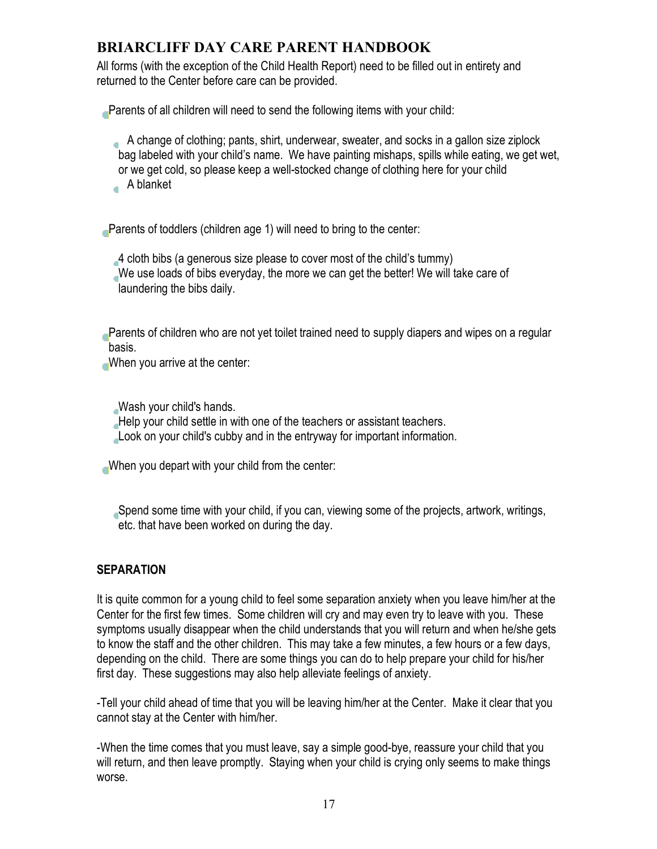All forms (with the exception of the Child Health Report) need to be filled out in entirety and returned to the Center before care can be provided.

Parents of all children will need to send the following items with your child:

 A change of clothing; pants, shirt, underwear, sweater, and socks in a gallon size ziplock bag labeled with your child's name. We have painting mishaps, spills while eating, we get wet, or we get cold, so please keep a well-stocked change of clothing here for your child A blanket

Parents of toddlers (children age 1) will need to bring to the center:

4 cloth bibs (a generous size please to cover most of the child's tummy) We use loads of bibs everyday, the more we can get the better! We will take care of laundering the bibs daily.

Parents of children who are not yet toilet trained need to supply diapers and wipes on a regular basis.

When you arrive at the center:

Wash your child's hands. Help your child settle in with one of the teachers or assistant teachers. Look on your child's cubby and in the entryway for important information.

When you depart with your child from the center:

Spend some time with your child, if you can, viewing some of the projects, artwork, writings, etc. that have been worked on during the day.

## **SEPARATION**

It is quite common for a young child to feel some separation anxiety when you leave him/her at the Center for the first few times. Some children will cry and may even try to leave with you. These symptoms usually disappear when the child understands that you will return and when he/she gets to know the staff and the other children. This may take a few minutes, a few hours or a few days, depending on the child. There are some things you can do to help prepare your child for his/her first day. These suggestions may also help alleviate feelings of anxiety.

-Tell your child ahead of time that you will be leaving him/her at the Center. Make it clear that you cannot stay at the Center with him/her.

-When the time comes that you must leave, say a simple good-bye, reassure your child that you will return, and then leave promptly. Staying when your child is crying only seems to make things worse.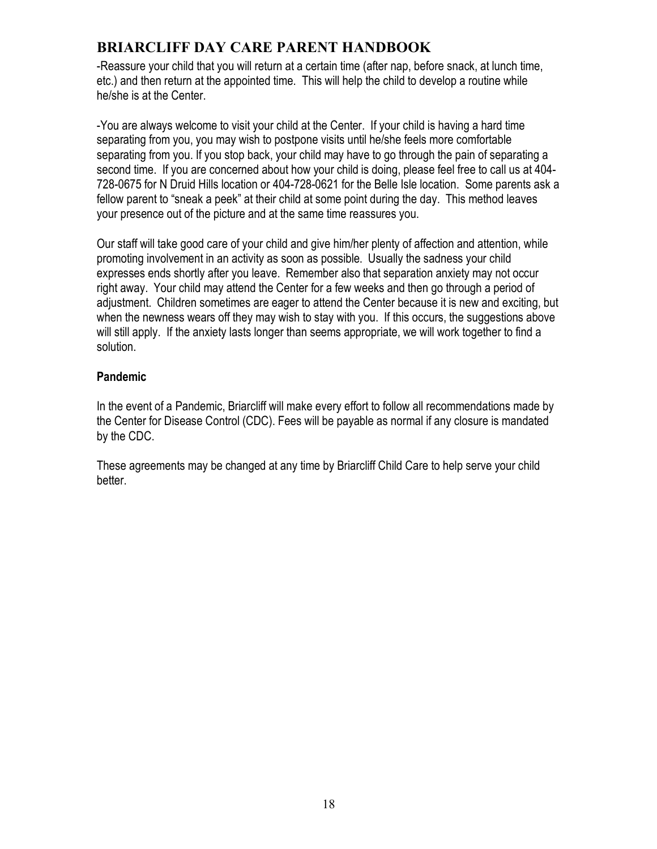-Reassure your child that you will return at a certain time (after nap, before snack, at lunch time, etc.) and then return at the appointed time. This will help the child to develop a routine while he/she is at the Center.

-You are always welcome to visit your child at the Center. If your child is having a hard time separating from you, you may wish to postpone visits until he/she feels more comfortable separating from you. If you stop back, your child may have to go through the pain of separating a second time. If you are concerned about how your child is doing, please feel free to call us at 404- 728-0675 for N Druid Hills location or 404-728-0621 for the Belle Isle location. Some parents ask a fellow parent to "sneak a peek" at their child at some point during the day. This method leaves your presence out of the picture and at the same time reassures you.

Our staff will take good care of your child and give him/her plenty of affection and attention, while promoting involvement in an activity as soon as possible. Usually the sadness your child expresses ends shortly after you leave. Remember also that separation anxiety may not occur right away. Your child may attend the Center for a few weeks and then go through a period of adjustment. Children sometimes are eager to attend the Center because it is new and exciting, but when the newness wears off they may wish to stay with you. If this occurs, the suggestions above will still apply. If the anxiety lasts longer than seems appropriate, we will work together to find a solution.

### **Pandemic**

In the event of a Pandemic, Briarcliff will make every effort to follow all recommendations made by the Center for Disease Control (CDC). Fees will be payable as normal if any closure is mandated by the CDC.

These agreements may be changed at any time by Briarcliff Child Care to help serve your child better.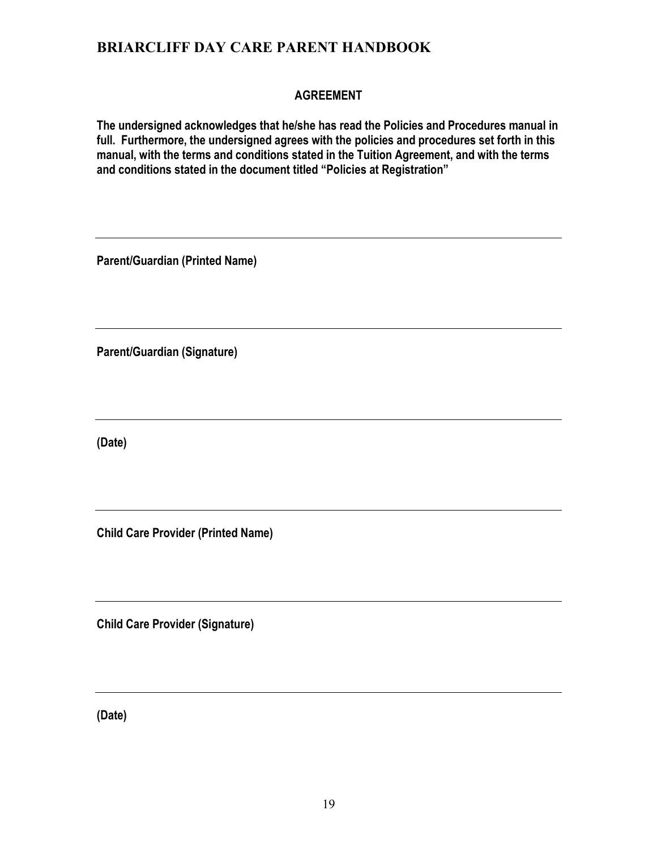### **AGREEMENT**

**The undersigned acknowledges that he/she has read the Policies and Procedures manual in full. Furthermore, the undersigned agrees with the policies and procedures set forth in this manual, with the terms and conditions stated in the Tuition Agreement, and with the terms and conditions stated in the document titled "Policies at Registration"**

**Parent/Guardian (Printed Name)**

**Parent/Guardian (Signature)**

**(Date)**

**Child Care Provider (Printed Name)**

**Child Care Provider (Signature)**

**(Date)**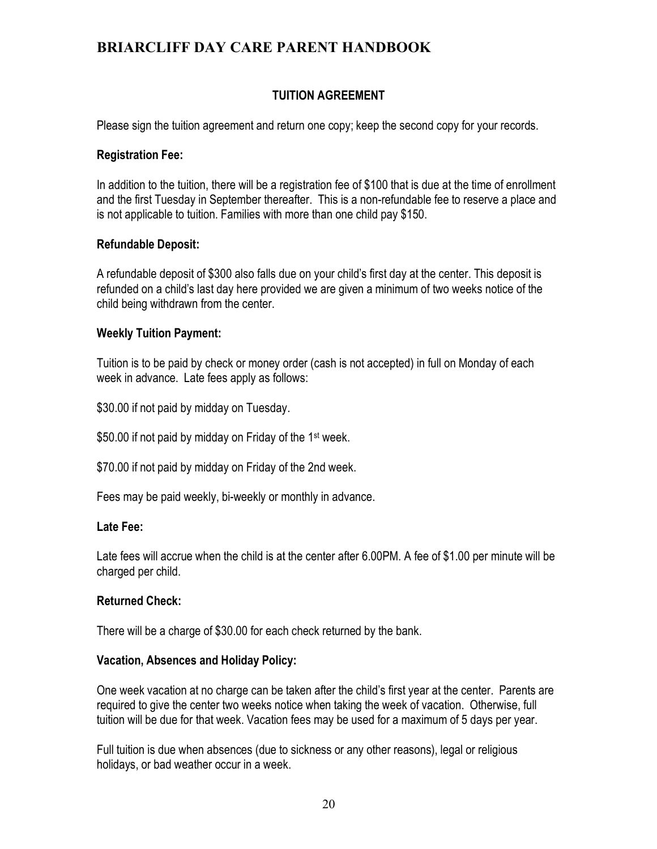### **TUITION AGREEMENT**

Please sign the tuition agreement and return one copy; keep the second copy for your records.

#### **Registration Fee:**

In addition to the tuition, there will be a registration fee of \$100 that is due at the time of enrollment and the first Tuesday in September thereafter. This is a non-refundable fee to reserve a place and is not applicable to tuition. Families with more than one child pay \$150.

#### **Refundable Deposit:**

A refundable deposit of \$300 also falls due on your child's first day at the center. This deposit is refunded on a child's last day here provided we are given a minimum of two weeks notice of the child being withdrawn from the center.

#### **Weekly Tuition Payment:**

Tuition is to be paid by check or money order (cash is not accepted) in full on Monday of each week in advance. Late fees apply as follows:

\$30.00 if not paid by midday on Tuesday.

\$50.00 if not paid by midday on Friday of the 1<sup>st</sup> week.

\$70.00 if not paid by midday on Friday of the 2nd week.

Fees may be paid weekly, bi-weekly or monthly in advance.

#### **Late Fee:**

Late fees will accrue when the child is at the center after 6.00PM. A fee of \$1.00 per minute will be charged per child.

#### **Returned Check:**

There will be a charge of \$30.00 for each check returned by the bank.

#### **Vacation, Absences and Holiday Policy:**

One week vacation at no charge can be taken after the child's first year at the center. Parents are required to give the center two weeks notice when taking the week of vacation. Otherwise, full tuition will be due for that week. Vacation fees may be used for a maximum of 5 days per year.

Full tuition is due when absences (due to sickness or any other reasons), legal or religious holidays, or bad weather occur in a week.